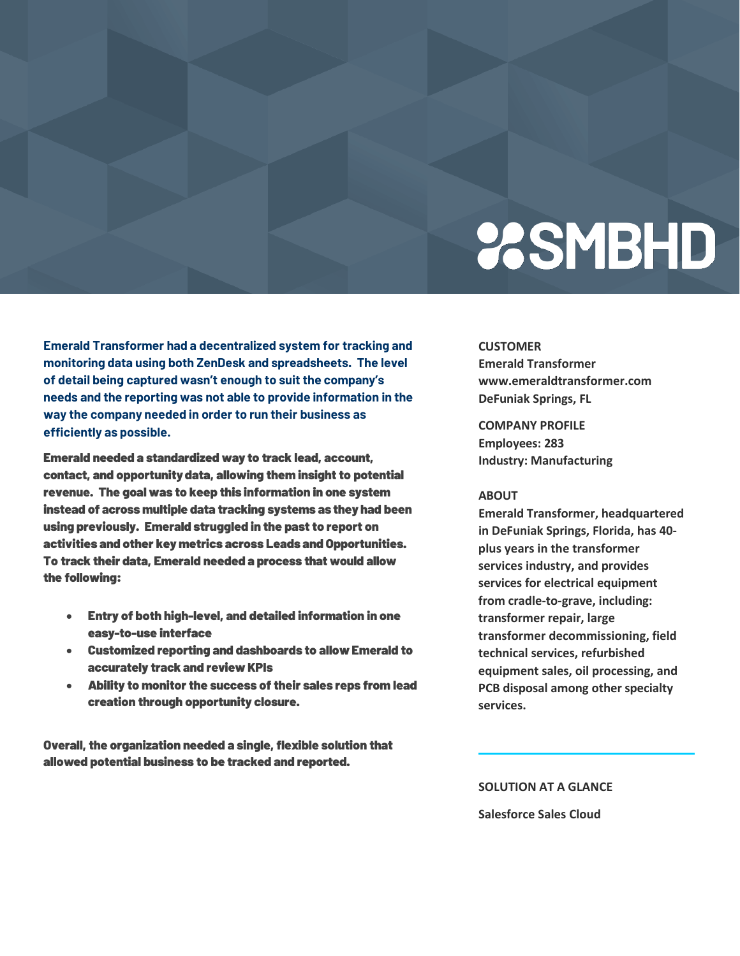# **23SMBHD**

**Emerald Transformer had a decentralized system for tracking and monitoring data using both ZenDesk and spreadsheets. The level of detail being captured wasn't enough to suit the company's needs and the reporting was not able to provide information in the way the company needed in order to run their business as efficiently as possible.** 

Emerald needed a standardized way to track lead, account, contact, and opportunity data, allowing them insight to potential revenue. The goal was to keep this information in one system instead of across multiple data tracking systems as they had been using previously. Emerald struggled in the past to report on activities and other key metrics across Leads and Opportunities. To track their data, Emerald needed a process that would allow the following:

- Entry of both high-level, and detailed information in one easy-to-use interface
- Customized reporting and dashboards to allow Emerald to accurately track and review KPIs
- Ability to monitor the success of their sales reps from lead creation through opportunity closure.

Overall, the organization needed a single, flexible solution that allowed potential business to be tracked and reported.

### **CUSTOMER**

**Emerald Transformer www.emeraldtransformer.com DeFuniak Springs, FL** 

**COMPANY PROFILE Employees: 283 Industry: Manufacturing** 

#### **ABOUT**

**Emerald Transformer, headquartered in DeFuniak Springs, Florida, has 40 plus years in the transformer services industry, and provides services for electrical equipment from cradle-to-grave, including: transformer repair, large transformer decommissioning, field technical services, refurbished equipment sales, oil processing, and PCB disposal among other specialty services.** 

**SOLUTION AT A GLANCE Salesforce Sales Cloud**